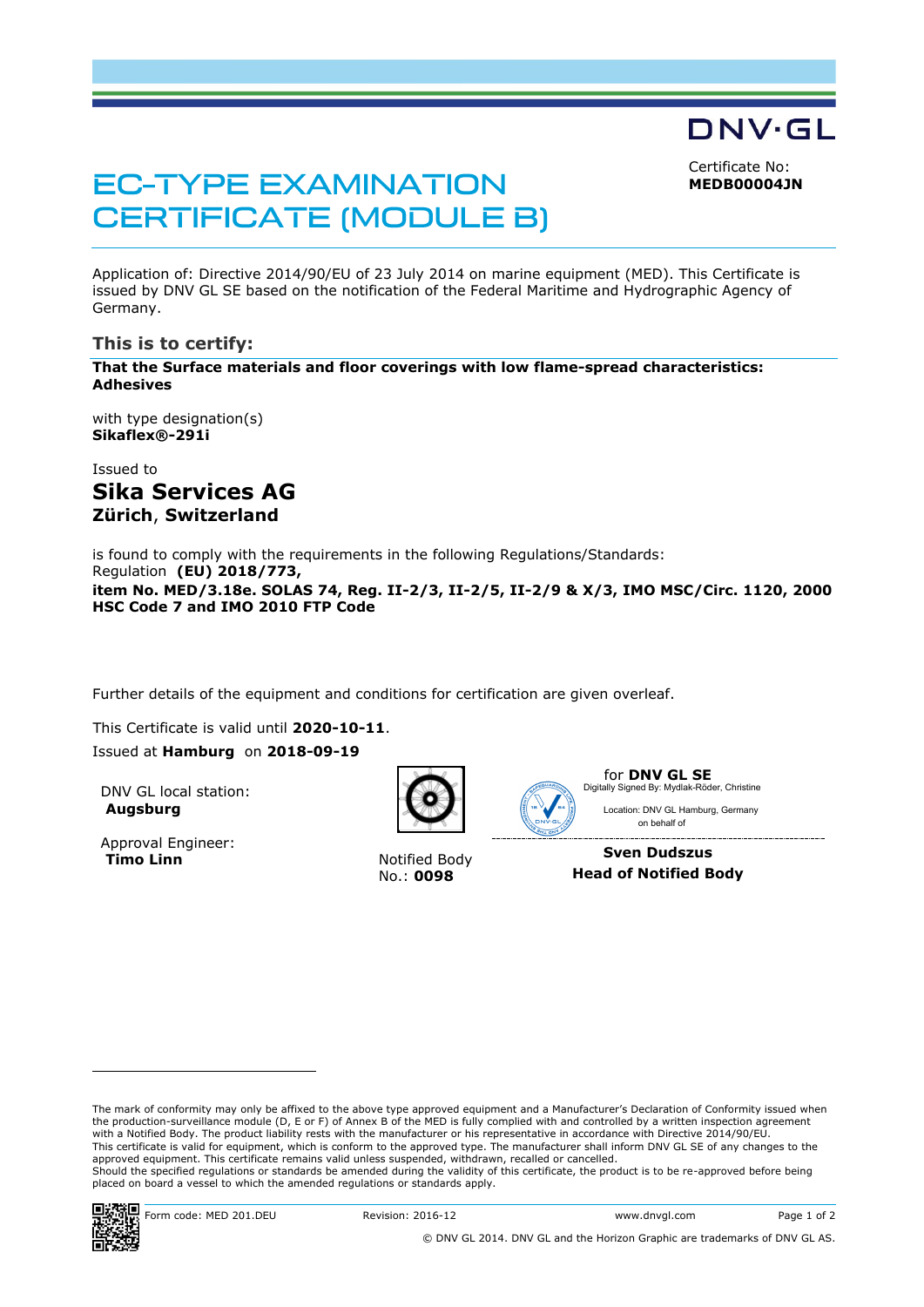DNV·GL

Certificate No: **MEDB00004JN**

# **EC-TYPE EXAMINATION CERTIFICATE (MODULE B)**

Application of: Directive 2014/90/EU of 23 July 2014 on marine equipment (MED). This Certificate is issued by DNV GL SE based on the notification of the Federal Maritime and Hydrographic Agency of Germany.

# **This is to certify:**

**That the Surface materials and floor coverings with low flame-spread characteristics: Adhesives**

with type designation(s) **Sikaflex®-291i**

Issued to **Sika Services AG Zürich**, **Switzerland**

is found to comply with the requirements in the following Regulations/Standards: Regulation **(EU) 2018/773,** 

**item No. MED/3.18e. SOLAS 74, Reg. II-2/3, II-2/5, II-2/9 & X/3, IMO MSC/Circ. 1120, 2000 HSC Code 7 and IMO 2010 FTP Code**

Further details of the equipment and conditions for certification are given overleaf.

This Certificate is valid until **2020-10-11**. Issued at **Hamburg** on **2018-09-19**

DNV GL local station: **Augsburg**

Approval Engineer: **Timo Linn** Notified Body



No.: **0098**



for **DNV GL SE** Location: DNV GL Hamburg, Germany Digitally Signed By: Mydlak-Röder, Christine

 on behalf of **Sven Dudszus Head of Notified Body**

The mark of conformity may only be affixed to the above type approved equipment and a Manufacturer's Declaration of Conformity issued when<br>the production-surveillance module (D, E or F) of Annex B of the MED is fully compl with a Notified Body. The product liability rests with the manufacturer or his representative in accordance with Directive 2014/90/EU. This certificate is valid for equipment, which is conform to the approved type. The manufacturer shall inform DNV GL SE of any changes to the approved equipment. This certificate remains valid unless suspended, withdrawn, recalled or cancelled. Should the specified regulations or standards be amended during the validity of this certificate, the product is to be re-approved before being placed on board a vessel to which the amended regulations or standards apply.



1